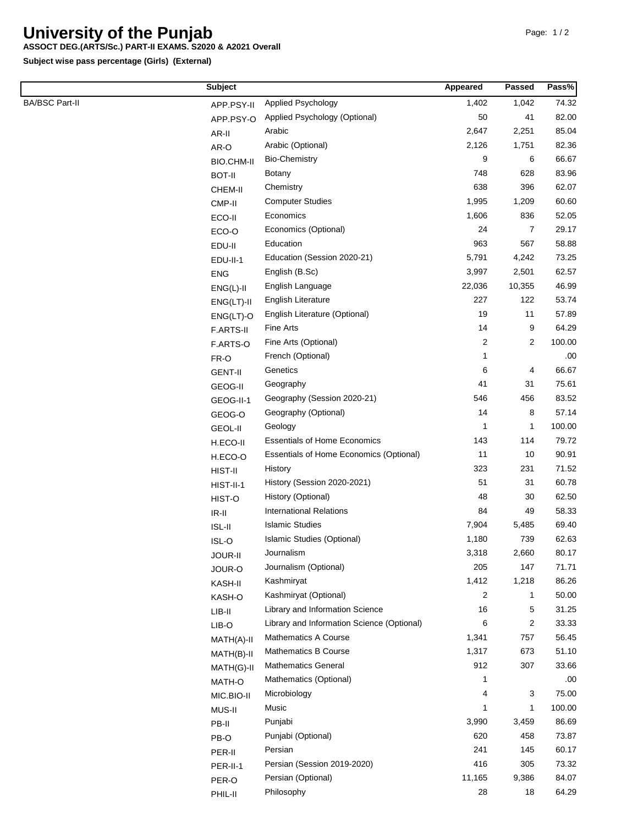## **University of the Punjab**

## **ASSOCT DEG.(ARTS/Sc.) PART-II EXAMS. S2020 & A2021 Overall**

**Subject wise pass percentage (Girls) (External)**

|                       | <b>Subject</b>    |                                                | Appeared | <b>Passed</b>  | Pass%  |
|-----------------------|-------------------|------------------------------------------------|----------|----------------|--------|
| <b>BA/BSC Part-II</b> | APP.PSY-II        | Applied Psychology                             | 1,402    | 1,042          | 74.32  |
|                       | APP.PSY-O         | Applied Psychology (Optional)                  | 50       | 41             | 82.00  |
|                       | AR-II             | Arabic                                         | 2,647    | 2,251          | 85.04  |
|                       | AR-O              | Arabic (Optional)                              | 2,126    | 1,751          | 82.36  |
|                       | <b>BIO.CHM-II</b> | <b>Bio-Chemistry</b>                           | 9        | 6              | 66.67  |
|                       | <b>BOT-II</b>     | <b>Botany</b>                                  | 748      | 628            | 83.96  |
|                       | CHEM-II           | Chemistry                                      | 638      | 396            | 62.07  |
|                       | CMP-II            | <b>Computer Studies</b>                        | 1,995    | 1,209          | 60.60  |
|                       | ECO-II            | Economics                                      | 1,606    | 836            | 52.05  |
|                       | ECO-O             | Economics (Optional)                           | 24       | $\overline{7}$ | 29.17  |
|                       | EDU-II            | Education                                      | 963      | 567            | 58.88  |
|                       | EDU-II-1          | Education (Session 2020-21)                    | 5,791    | 4,242          | 73.25  |
|                       | <b>ENG</b>        | English (B.Sc)                                 | 3,997    | 2,501          | 62.57  |
|                       | $ENG(L)-II$       | English Language                               | 22,036   | 10,355         | 46.99  |
|                       | $ENG(LT)-II$      | English Literature                             | 227      | 122            | 53.74  |
|                       | $ENG(LT)-O$       | English Literature (Optional)                  | 19       | 11             | 57.89  |
|                       | F.ARTS-II         | Fine Arts                                      | 14       | 9              | 64.29  |
|                       | F.ARTS-O          | Fine Arts (Optional)                           | 2        | 2              | 100.00 |
|                       | FR-O              | French (Optional)                              | 1        |                | .00    |
|                       | <b>GENT-II</b>    | Genetics                                       | 6        | 4              | 66.67  |
|                       | <b>GEOG-II</b>    | Geography                                      | 41       | 31             | 75.61  |
|                       | GEOG-II-1         | Geography (Session 2020-21)                    | 546      | 456            | 83.52  |
|                       | GEOG-O            | Geography (Optional)                           | 14       | 8              | 57.14  |
|                       | <b>GEOL-II</b>    | Geology                                        | 1        | 1              | 100.00 |
|                       | H.ECO-II          | <b>Essentials of Home Economics</b>            | 143      | 114            | 79.72  |
|                       | H.ECO-O           | <b>Essentials of Home Economics (Optional)</b> | 11       | 10             | 90.91  |
|                       | HIST-II           | History                                        | 323      | 231            | 71.52  |
|                       | HIST-II-1         | History (Session 2020-2021)                    | 51       | 31             | 60.78  |
|                       | HIST-O            | History (Optional)                             | 48       | 30             | 62.50  |
|                       | $IR-II$           | <b>International Relations</b>                 | 84       | 49             | 58.33  |
|                       | ISL-II            | <b>Islamic Studies</b>                         | 7,904    | 5,485          | 69.40  |
|                       | ISL-O             | Islamic Studies (Optional)                     | 1,180    | 739            | 62.63  |
|                       | <b>JOUR-II</b>    | Journalism                                     | 3,318    | 2,660          | 80.17  |
|                       | JOUR-O            | Journalism (Optional)                          | 205      | 147            | 71.71  |
|                       | KASH-II           | Kashmiryat                                     | 1,412    | 1,218          | 86.26  |
|                       | KASH-O            | Kashmiryat (Optional)                          | 2        | 1              | 50.00  |
|                       | LIB-II            | Library and Information Science                | 16       | 5              | 31.25  |
|                       | LIB-O             | Library and Information Science (Optional)     | 6        | 2              | 33.33  |
|                       | MATH(A)-II        | <b>Mathematics A Course</b>                    | 1,341    | 757            | 56.45  |
|                       | MATH(B)-II        | Mathematics B Course                           | 1,317    | 673            | 51.10  |
|                       | MATH(G)-II        | <b>Mathematics General</b>                     | 912      | 307            | 33.66  |
|                       | MATH-O            | Mathematics (Optional)                         | 1        |                | .00    |
|                       | MIC.BIO-II        | Microbiology                                   | 4        | 3              | 75.00  |
|                       | MUS-II            | Music                                          | 1        | 1              | 100.00 |
|                       | PB-II             | Punjabi                                        | 3,990    | 3,459          | 86.69  |
|                       | PB-O              | Punjabi (Optional)                             | 620      | 458            | 73.87  |
|                       | PER-II            | Persian                                        | 241      | 145            | 60.17  |
|                       | PER-II-1          | Persian (Session 2019-2020)                    | 416      | 305            | 73.32  |
|                       | PER-O             | Persian (Optional)                             | 11,165   | 9,386          | 84.07  |
|                       | PHIL-II           | Philosophy                                     | 28       | 18             | 64.29  |
|                       |                   |                                                |          |                |        |